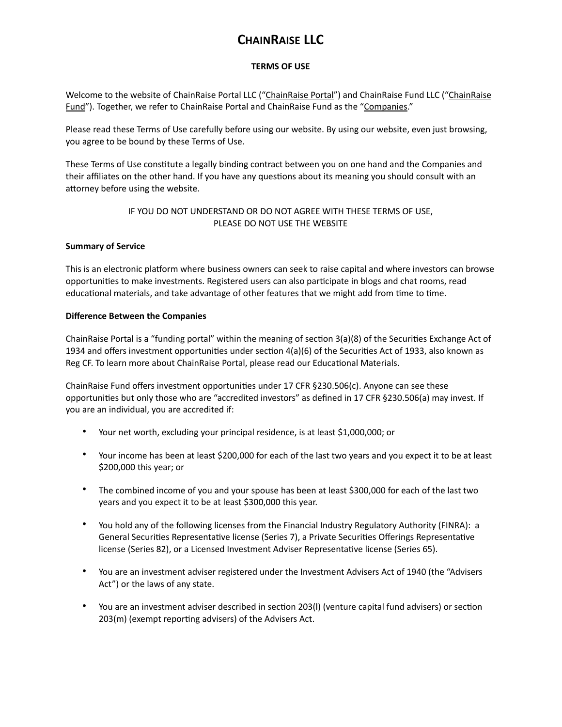# **CHAINRAISE LLC**

# **TERMS OF USE**

Welcome to the website of ChainRaise Portal LLC ("ChainRaise Portal") and ChainRaise Fund LLC ("ChainRaise Fund"). Together, we refer to ChainRaise Portal and ChainRaise Fund as the "Companies."

Please read these Terms of Use carefully before using our website. By using our website, even just browsing, you agree to be bound by these Terms of Use.

These Terms of Use constitute a legally binding contract between you on one hand and the Companies and their affiliates on the other hand. If you have any questions about its meaning you should consult with an attorney before using the website.

# IF YOU DO NOT UNDERSTAND OR DO NOT AGREE WITH THESE TERMS OF USE, PLEASE DO NOT USE THE WEBSITE

# **Summary of Service**

This is an electronic platform where business owners can seek to raise capital and where investors can browse opportunities to make investments. Registered users can also participate in blogs and chat rooms, read educational materials, and take advantage of other features that we might add from time to time.

# **Difference Between the Companies**

ChainRaise Portal is a "funding portal" within the meaning of section 3(a)(8) of the Securities Exchange Act of 1934 and offers investment opportunities under section 4(a)(6) of the Securities Act of 1933, also known as Reg CF. To learn more about ChainRaise Portal, please read our Educational Materials.

ChainRaise Fund offers investment opportunities under 17 CFR §230.506(c). Anyone can see these opportunities but only those who are "accredited investors" as defined in 17 CFR §230.506(a) may invest. If you are an individual, you are accredited if:

- Your net worth, excluding your principal residence, is at least \$1,000,000; or
- Your income has been at least \$200,000 for each of the last two years and you expect it to be at least \$200,000 this year; or
- The combined income of you and your spouse has been at least \$300,000 for each of the last two years and you expect it to be at least \$300,000 this year.
- You hold any of the following licenses from the Financial Industry Regulatory Authority (FINRA): a General Securities Representative license (Series 7), a Private Securities Offerings Representative license (Series 82), or a Licensed Investment Adviser Representative license (Series 65).
- You are an investment adviser registered under the Investment Advisers Act of 1940 (the "Advisers Act") or the laws of any state.
- You are an investment adviser described in section 203(l) (venture capital fund advisers) or section 203(m) (exempt reporting advisers) of the Advisers Act.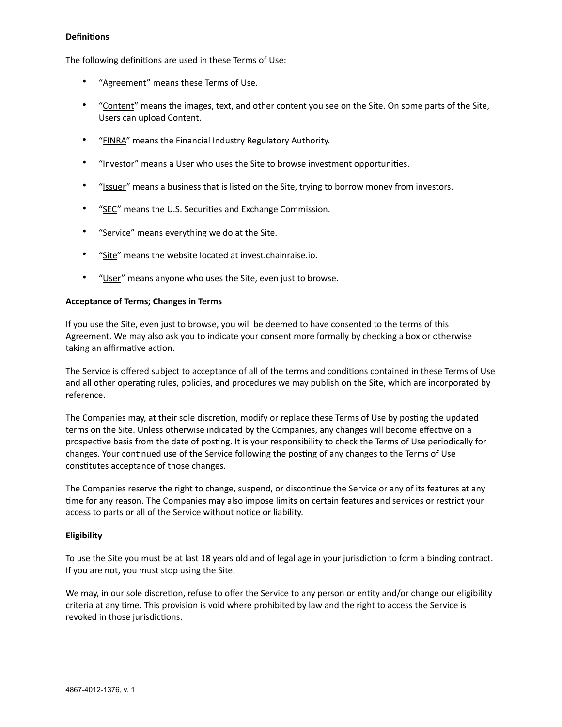#### **Definitions**

The following definitions are used in these Terms of Use:

- "Agreement" means these Terms of Use.
- "Content" means the images, text, and other content you see on the Site. On some parts of the Site, Users can upload Content.
- "FINRA" means the Financial Industry Regulatory Authority.
- "Investor" means a User who uses the Site to browse investment opportunities.
- "Issuer" means a business that is listed on the Site, trying to borrow money from investors.
- "SEC" means the U.S. Securities and Exchange Commission.
- "Service" means everything we do at the Site.
- "Site" means the website located at invest.chainraise.io.
- "User" means anyone who uses the Site, even just to browse.

#### **Acceptance of Terms; Changes in Terms**

If you use the Site, even just to browse, you will be deemed to have consented to the terms of this Agreement. We may also ask you to indicate your consent more formally by checking a box or otherwise taking an affirmative action.

The Service is offered subject to acceptance of all of the terms and conditions contained in these Terms of Use and all other operating rules, policies, and procedures we may publish on the Site, which are incorporated by reference.

The Companies may, at their sole discretion, modify or replace these Terms of Use by posting the updated terms on the Site. Unless otherwise indicated by the Companies, any changes will become effective on a prospective basis from the date of posting. It is your responsibility to check the Terms of Use periodically for changes. Your continued use of the Service following the posting of any changes to the Terms of Use constitutes acceptance of those changes.

The Companies reserve the right to change, suspend, or discontinue the Service or any of its features at any time for any reason. The Companies may also impose limits on certain features and services or restrict your access to parts or all of the Service without notice or liability.

#### **Eligibility**

To use the Site you must be at last 18 years old and of legal age in your jurisdiction to form a binding contract. If you are not, you must stop using the Site.

We may, in our sole discretion, refuse to offer the Service to any person or entity and/or change our eligibility criteria at any time. This provision is void where prohibited by law and the right to access the Service is revoked in those jurisdictions.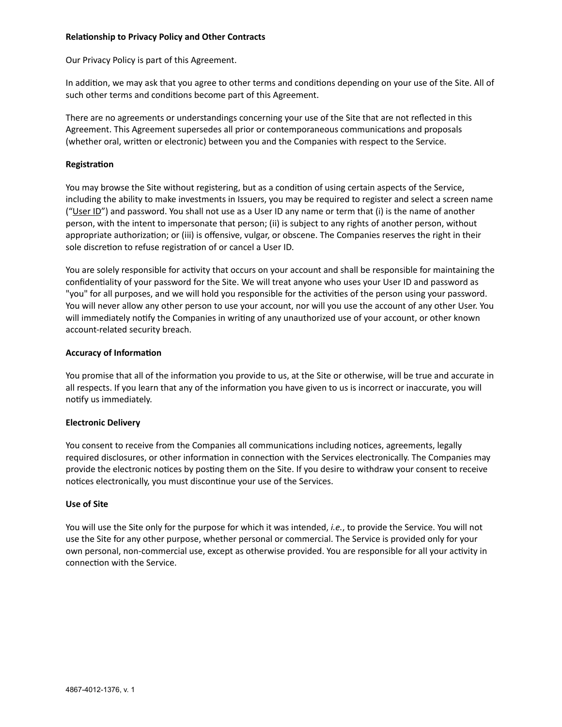#### **Relationship to Privacy Policy and Other Contracts**

Our Privacy Policy is part of this Agreement.

In addition, we may ask that you agree to other terms and conditions depending on your use of the Site. All of such other terms and conditions become part of this Agreement.

There are no agreements or understandings concerning your use of the Site that are not reflected in this Agreement. This Agreement supersedes all prior or contemporaneous communications and proposals (whether oral, written or electronic) between you and the Companies with respect to the Service.

#### **Registration**

You may browse the Site without registering, but as a condition of using certain aspects of the Service, including the ability to make investments in Issuers, you may be required to register and select a screen name ("User ID") and password. You shall not use as a User ID any name or term that (i) is the name of another person, with the intent to impersonate that person; (ii) is subject to any rights of another person, without appropriate authorization; or (iii) is offensive, vulgar, or obscene. The Companies reserves the right in their sole discretion to refuse registration of or cancel a User ID.

You are solely responsible for activity that occurs on your account and shall be responsible for maintaining the confidentiality of your password for the Site. We will treat anyone who uses your User ID and password as "you" for all purposes, and we will hold you responsible for the activities of the person using your password. You will never allow any other person to use your account, nor will you use the account of any other User. You will immediately notify the Companies in writing of any unauthorized use of your account, or other known account-related security breach.

#### **Accuracy of Information**

You promise that all of the information you provide to us, at the Site or otherwise, will be true and accurate in all respects. If you learn that any of the information you have given to us is incorrect or inaccurate, you will notify us immediately.

#### **Electronic Delivery**

You consent to receive from the Companies all communications including notices, agreements, legally required disclosures, or other information in connection with the Services electronically. The Companies may provide the electronic notices by posting them on the Site. If you desire to withdraw your consent to receive notices electronically, you must discontinue your use of the Services.

#### **Use of Site**

You will use the Site only for the purpose for which it was intended, *i.e.*, to provide the Service. You will not use the Site for any other purpose, whether personal or commercial. The Service is provided only for your own personal, non-commercial use, except as otherwise provided. You are responsible for all your activity in connection with the Service.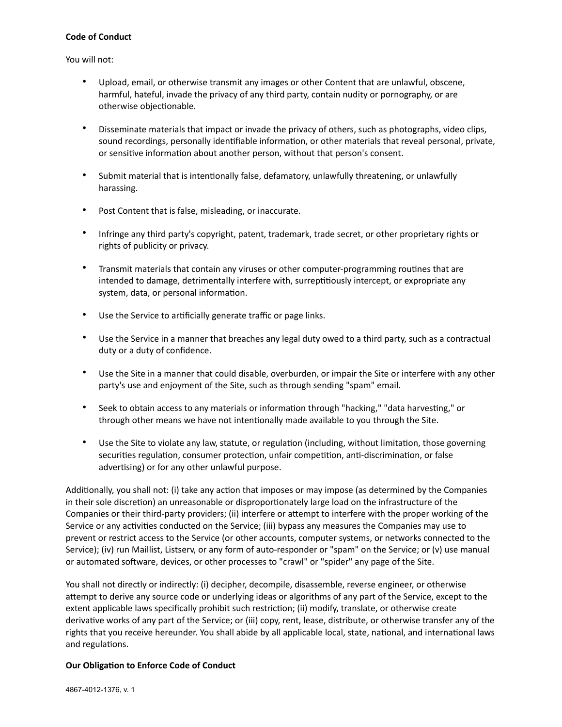#### **Code of Conduct**

You will not:

- Upload, email, or otherwise transmit any images or other Content that are unlawful, obscene, harmful, hateful, invade the privacy of any third party, contain nudity or pornography, or are otherwise objectionable.
- Disseminate materials that impact or invade the privacy of others, such as photographs, video clips, sound recordings, personally identifiable information, or other materials that reveal personal, private, or sensitive information about another person, without that person's consent.
- Submit material that is intentionally false, defamatory, unlawfully threatening, or unlawfully harassing.
- Post Content that is false, misleading, or inaccurate.
- Infringe any third party's copyright, patent, trademark, trade secret, or other proprietary rights or rights of publicity or privacy.
- Transmit materials that contain any viruses or other computer-programming routines that are intended to damage, detrimentally interfere with, surreptitiously intercept, or expropriate any system, data, or personal information.
- Use the Service to artificially generate traffic or page links.
- Use the Service in a manner that breaches any legal duty owed to a third party, such as a contractual duty or a duty of confidence.
- Use the Site in a manner that could disable, overburden, or impair the Site or interfere with any other party's use and enjoyment of the Site, such as through sending "spam" email.
- Seek to obtain access to any materials or information through "hacking," "data harvesting," or through other means we have not intentionally made available to you through the Site.
- Use the Site to violate any law, statute, or regulation (including, without limitation, those governing securities regulation, consumer protection, unfair competition, anti-discrimination, or false advertising) or for any other unlawful purpose.

Additionally, you shall not: (i) take any action that imposes or may impose (as determined by the Companies in their sole discretion) an unreasonable or disproportionately large load on the infrastructure of the Companies or their third-party providers; (ii) interfere or attempt to interfere with the proper working of the Service or any activities conducted on the Service; (iii) bypass any measures the Companies may use to prevent or restrict access to the Service (or other accounts, computer systems, or networks connected to the Service); (iv) run Maillist, Listserv, or any form of auto-responder or "spam" on the Service; or (v) use manual or automated software, devices, or other processes to "crawl" or "spider" any page of the Site.

You shall not directly or indirectly: (i) decipher, decompile, disassemble, reverse engineer, or otherwise attempt to derive any source code or underlying ideas or algorithms of any part of the Service, except to the extent applicable laws specifically prohibit such restriction; (ii) modify, translate, or otherwise create derivative works of any part of the Service; or (iii) copy, rent, lease, distribute, or otherwise transfer any of the rights that you receive hereunder. You shall abide by all applicable local, state, national, and international laws and regulations.

#### **Our Obligation to Enforce Code of Conduct**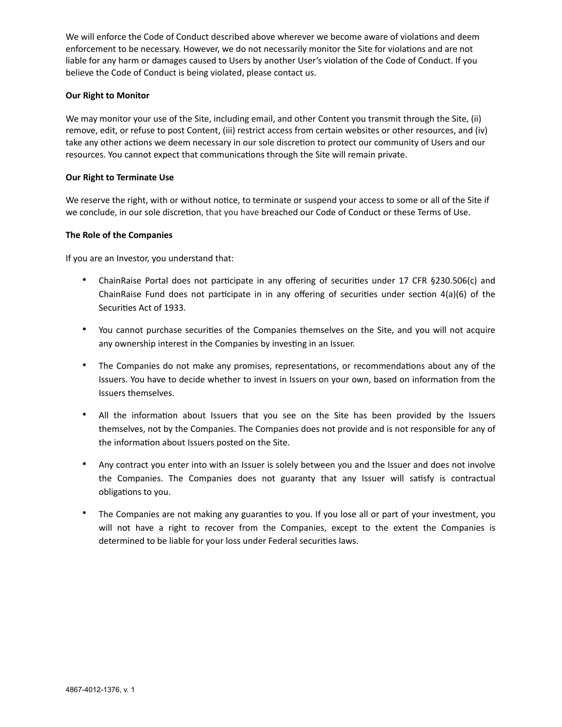We will enforce the Code of Conduct described above wherever we become aware of violations and deem enforcement to be necessary. However, we do not necessarily monitor the Site for violations and are not liable for any harm or damages caused to Users by another User's violation of the Code of Conduct. If you believe the Code of Conduct is being violated, please contact us.

## **Our Right to Monitor**

We may monitor your use of the Site, including email, and other Content you transmit through the Site, (ii) remove, edit, or refuse to post Content, (iii) restrict access from certain websites or other resources, and (iv) take any other actions we deem necessary in our sole discretion to protect our community of Users and our resources. You cannot expect that communications through the Site will remain private.

### **Our Right to Terminate Use**

We reserve the right, with or without notice, to terminate or suspend your access to some or all of the Site if we conclude, in our sole discretion, that you have breached our Code of Conduct or these Terms of Use.

## **The Role of the Companies**

If you are an Investor, you understand that:

- ChainRaise Portal does not participate in any offering of securities under 17 CFR §230.506(c) and ChainRaise Fund does not participate in in any offering of securities under section 4(a)(6) of the Securities Act of 1933.
- You cannot purchase securities of the Companies themselves on the Site, and you will not acquire any ownership interest in the Companies by investing in an Issuer.
- The Companies do not make any promises, representations, or recommendations about any of the Issuers. You have to decide whether to invest in Issuers on your own, based on information from the Issuers themselves.
- All the information about Issuers that you see on the Site has been provided by the Issuers themselves, not by the Companies. The Companies does not provide and is not responsible for any of the information about Issuers posted on the Site.
- Any contract you enter into with an Issuer is solely between you and the Issuer and does not involve the Companies. The Companies does not guaranty that any Issuer will satisfy is contractual obligations to you.
- The Companies are not making any guaranties to you. If you lose all or part of your investment, you will not have a right to recover from the Companies, except to the extent the Companies is determined to be liable for your loss under Federal securities laws.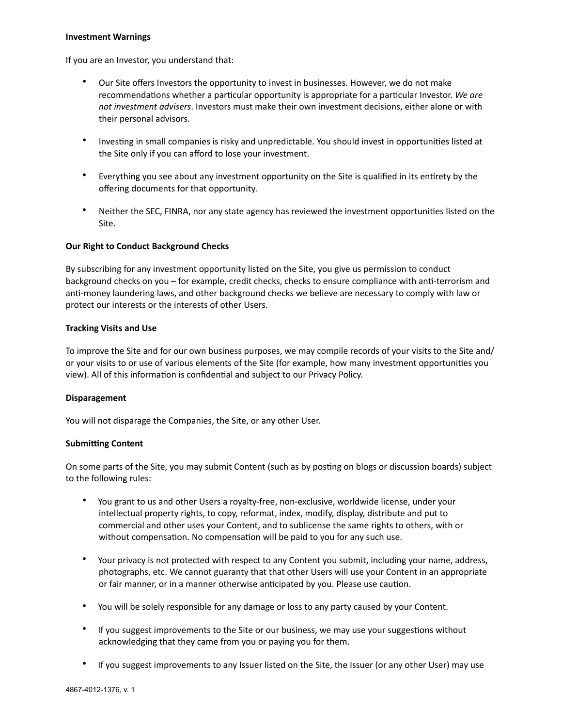#### **Investment Warnings**

If you are an Investor, you understand that:

- Our Site offers Investors the opportunity to invest in businesses. However, we do not make recommendations whether a particular opportunity is appropriate for a particular Investor. *We are not investment advisers*. Investors must make their own investment decisions, either alone or with their personal advisors.
- Investing in small companies is risky and unpredictable. You should invest in opportunities listed at the Site only if you can afford to lose your investment.
- Everything you see about any investment opportunity on the Site is qualified in its entirety by the offering documents for that opportunity.
- Neither the SEC, FINRA, nor any state agency has reviewed the investment opportunities listed on the Site.

#### **Our Right to Conduct Background Checks**

By subscribing for any investment opportunity listed on the Site, you give us permission to conduct background checks on you – for example, credit checks, checks to ensure compliance with anti-terrorism and anti-money laundering laws, and other background checks we believe are necessary to comply with law or protect our interests or the interests of other Users.

#### **Tracking Visits and Use**

To improve the Site and for our own business purposes, we may compile records of your visits to the Site and/ or your visits to or use of various elements of the Site (for example, how many investment opportunities you view). All of this information is confidential and subject to our Privacy Policy.

#### **Disparagement**

You will not disparage the Companies, the Site, or any other User.

#### **Submitting Content**

On some parts of the Site, you may submit Content (such as by posting on blogs or discussion boards) subject to the following rules:

- You grant to us and other Users a royalty-free, non-exclusive, worldwide license, under your intellectual property rights, to copy, reformat, index, modify, display, distribute and put to commercial and other uses your Content, and to sublicense the same rights to others, with or without compensation. No compensation will be paid to you for any such use.
- Your privacy is not protected with respect to any Content you submit, including your name, address, photographs, etc. We cannot guaranty that that other Users will use your Content in an appropriate or fair manner, or in a manner otherwise anticipated by you. Please use caution.
- You will be solely responsible for any damage or loss to any party caused by your Content.
- If you suggest improvements to the Site or our business, we may use your suggestions without acknowledging that they came from you or paying you for them.
- If you suggest improvements to any Issuer listed on the Site, the Issuer (or any other User) may use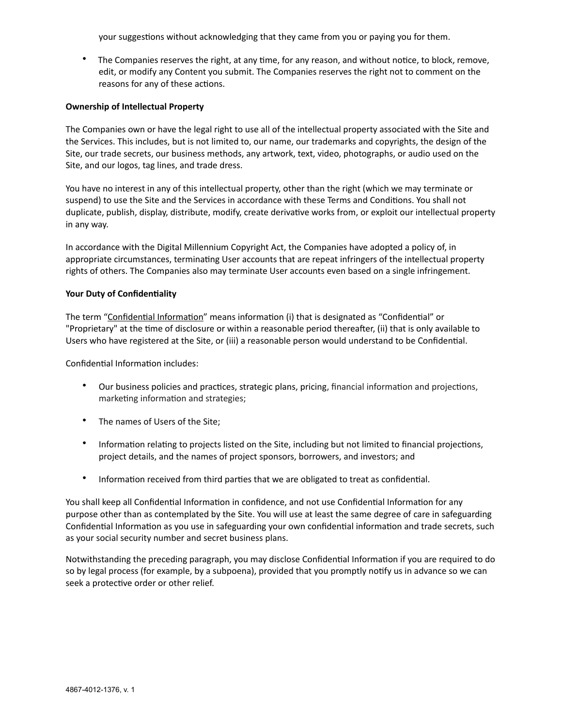your suggestions without acknowledging that they came from you or paying you for them.

• The Companies reserves the right, at any time, for any reason, and without notice, to block, remove, edit, or modify any Content you submit. The Companies reserves the right not to comment on the reasons for any of these actions.

#### **Ownership of Intellectual Property**

The Companies own or have the legal right to use all of the intellectual property associated with the Site and the Services. This includes, but is not limited to, our name, our trademarks and copyrights, the design of the Site, our trade secrets, our business methods, any artwork, text, video, photographs, or audio used on the Site, and our logos, tag lines, and trade dress.

You have no interest in any of this intellectual property, other than the right (which we may terminate or suspend) to use the Site and the Services in accordance with these Terms and Conditions. You shall not duplicate, publish, display, distribute, modify, create derivative works from, or exploit our intellectual property in any way.

In accordance with the Digital Millennium Copyright Act, the Companies have adopted a policy of, in appropriate circumstances, terminating User accounts that are repeat infringers of the intellectual property rights of others. The Companies also may terminate User accounts even based on a single infringement.

#### **Your Duty of Confidentiality**

The term "Confidential Information" means information (i) that is designated as "Confidential" or "Proprietary" at the time of disclosure or within a reasonable period thereafter, (ii) that is only available to Users who have registered at the Site, or (iii) a reasonable person would understand to be Confidential.

Confidential Information includes:

- Our business policies and practices, strategic plans, pricing, financial information and projections, marketing information and strategies;
- The names of Users of the Site;
- Information relating to projects listed on the Site, including but not limited to financial projections, project details, and the names of project sponsors, borrowers, and investors; and
- Information received from third parties that we are obligated to treat as confidential.

You shall keep all Confidential Information in confidence, and not use Confidential Information for any purpose other than as contemplated by the Site. You will use at least the same degree of care in safeguarding Confidential Information as you use in safeguarding your own confidential information and trade secrets, such as your social security number and secret business plans.

Notwithstanding the preceding paragraph, you may disclose Confidential Information if you are required to do so by legal process (for example, by a subpoena), provided that you promptly notify us in advance so we can seek a protective order or other relief.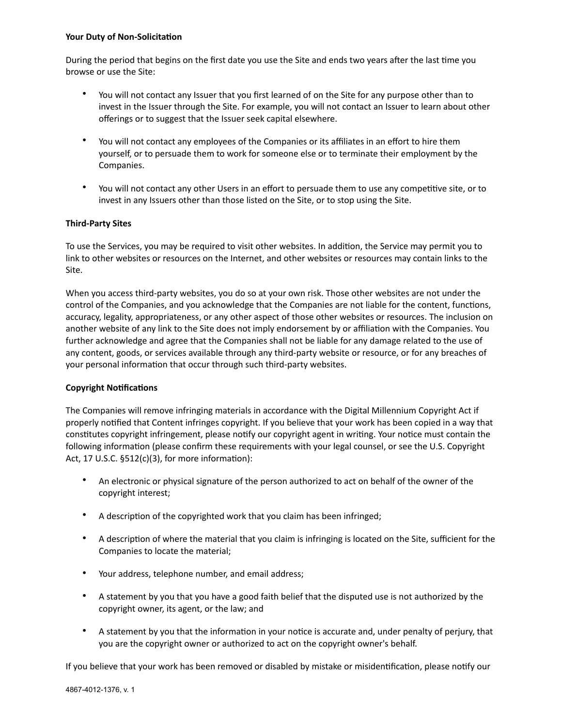#### **Your Duty of Non-Solicitation**

During the period that begins on the first date you use the Site and ends two years after the last time you browse or use the Site:

- You will not contact any Issuer that you first learned of on the Site for any purpose other than to invest in the Issuer through the Site. For example, you will not contact an Issuer to learn about other offerings or to suggest that the Issuer seek capital elsewhere.
- You will not contact any employees of the Companies or its affiliates in an effort to hire them yourself, or to persuade them to work for someone else or to terminate their employment by the Companies.
- You will not contact any other Users in an effort to persuade them to use any competitive site, or to invest in any Issuers other than those listed on the Site, or to stop using the Site.

## **Third-Party Sites**

To use the Services, you may be required to visit other websites. In addition, the Service may permit you to link to other websites or resources on the Internet, and other websites or resources may contain links to the Site.

When you access third-party websites, you do so at your own risk. Those other websites are not under the control of the Companies, and you acknowledge that the Companies are not liable for the content, functions, accuracy, legality, appropriateness, or any other aspect of those other websites or resources. The inclusion on another website of any link to the Site does not imply endorsement by or affiliation with the Companies. You further acknowledge and agree that the Companies shall not be liable for any damage related to the use of any content, goods, or services available through any third-party website or resource, or for any breaches of your personal information that occur through such third-party websites.

#### **Copyright Notifications**

The Companies will remove infringing materials in accordance with the Digital Millennium Copyright Act if properly notified that Content infringes copyright. If you believe that your work has been copied in a way that constitutes copyright infringement, please notify our copyright agent in writing. Your notice must contain the following information (please confirm these requirements with your legal counsel, or see the U.S. Copyright Act, 17 U.S.C. §512(c)(3), for more information):

- An electronic or physical signature of the person authorized to act on behalf of the owner of the copyright interest;
- A description of the copyrighted work that you claim has been infringed;
- A description of where the material that you claim is infringing is located on the Site, sufficient for the Companies to locate the material;
- Your address, telephone number, and email address;
- A statement by you that you have a good faith belief that the disputed use is not authorized by the copyright owner, its agent, or the law; and
- A statement by you that the information in your notice is accurate and, under penalty of perjury, that you are the copyright owner or authorized to act on the copyright owner's behalf.

If you believe that your work has been removed or disabled by mistake or misidentification, please notify our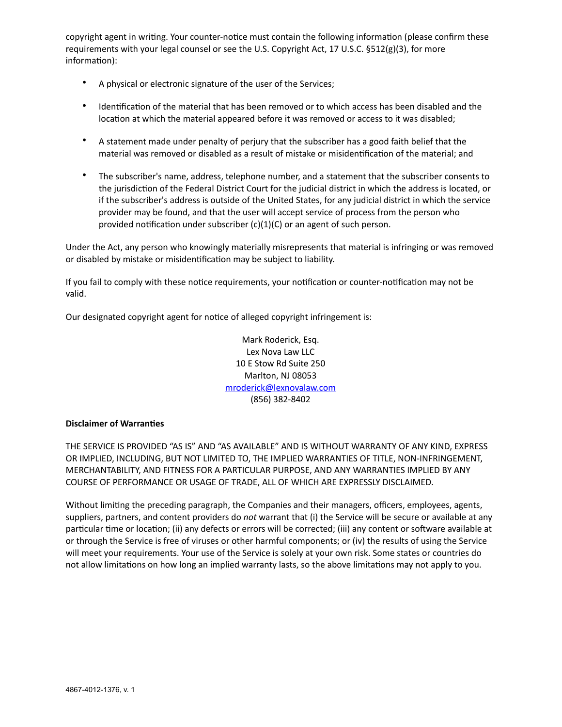copyright agent in writing. Your counter-notice must contain the following information (please confirm these requirements with your legal counsel or see the U.S. Copyright Act, 17 U.S.C. §512(g)(3), for more information):

- A physical or electronic signature of the user of the Services;
- Identification of the material that has been removed or to which access has been disabled and the location at which the material appeared before it was removed or access to it was disabled;
- A statement made under penalty of perjury that the subscriber has a good faith belief that the material was removed or disabled as a result of mistake or misidentification of the material; and
- The subscriber's name, address, telephone number, and a statement that the subscriber consents to the jurisdiction of the Federal District Court for the judicial district in which the address is located, or if the subscriber's address is outside of the United States, for any judicial district in which the service provider may be found, and that the user will accept service of process from the person who provided notification under subscriber (c)(1)(C) or an agent of such person.

Under the Act, any person who knowingly materially misrepresents that material is infringing or was removed or disabled by mistake or misidentification may be subject to liability.

If you fail to comply with these notice requirements, your notification or counter-notification may not be valid.

Our designated copyright agent for notice of alleged copyright infringement is:

Mark Roderick, Esq. Lex Nova Law LLC 10 E Stow Rd Suite 250 Marlton, NJ 08053 [mroderick@lexnovalaw.com](mailto:mroderick@lexnovalaw.com) (856) 382-8402

#### **Disclaimer of Warranties**

THE SERVICE IS PROVIDED "AS IS" AND "AS AVAILABLE" AND IS WITHOUT WARRANTY OF ANY KIND, EXPRESS OR IMPLIED, INCLUDING, BUT NOT LIMITED TO, THE IMPLIED WARRANTIES OF TITLE, NON-INFRINGEMENT, MERCHANTABILITY, AND FITNESS FOR A PARTICULAR PURPOSE, AND ANY WARRANTIES IMPLIED BY ANY COURSE OF PERFORMANCE OR USAGE OF TRADE, ALL OF WHICH ARE EXPRESSLY DISCLAIMED.

Without limiting the preceding paragraph, the Companies and their managers, officers, employees, agents, suppliers, partners, and content providers do *not* warrant that (i) the Service will be secure or available at any particular time or location; (ii) any defects or errors will be corrected; (iii) any content or software available at or through the Service is free of viruses or other harmful components; or (iv) the results of using the Service will meet your requirements. Your use of the Service is solely at your own risk. Some states or countries do not allow limitations on how long an implied warranty lasts, so the above limitations may not apply to you.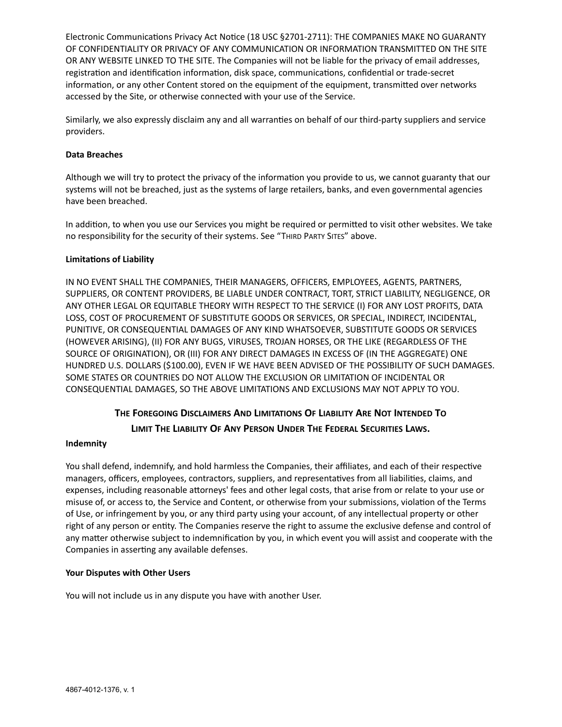Electronic Communications Privacy Act Notice (18 USC §2701-2711): THE COMPANIES MAKE NO GUARANTY OF CONFIDENTIALITY OR PRIVACY OF ANY COMMUNICATION OR INFORMATION TRANSMITTED ON THE SITE OR ANY WEBSITE LINKED TO THE SITE. The Companies will not be liable for the privacy of email addresses, registration and identification information, disk space, communications, confidential or trade-secret information, or any other Content stored on the equipment of the equipment, transmitted over networks accessed by the Site, or otherwise connected with your use of the Service.

Similarly, we also expressly disclaim any and all warranties on behalf of our third-party suppliers and service providers.

### **Data Breaches**

Although we will try to protect the privacy of the information you provide to us, we cannot guaranty that our systems will not be breached, just as the systems of large retailers, banks, and even governmental agencies have been breached.

In addition, to when you use our Services you might be required or permitted to visit other websites. We take no responsibility for the security of their systems. See "THIRD PARTY SITES" above.

## **Limitations of Liability**

IN NO EVENT SHALL THE COMPANIES, THEIR MANAGERS, OFFICERS, EMPLOYEES, AGENTS, PARTNERS, SUPPLIERS, OR CONTENT PROVIDERS, BE LIABLE UNDER CONTRACT, TORT, STRICT LIABILITY, NEGLIGENCE, OR ANY OTHER LEGAL OR EQUITABLE THEORY WITH RESPECT TO THE SERVICE (I) FOR ANY LOST PROFITS, DATA LOSS, COST OF PROCUREMENT OF SUBSTITUTE GOODS OR SERVICES, OR SPECIAL, INDIRECT, INCIDENTAL, PUNITIVE, OR CONSEQUENTIAL DAMAGES OF ANY KIND WHATSOEVER, SUBSTITUTE GOODS OR SERVICES (HOWEVER ARISING), (II) FOR ANY BUGS, VIRUSES, TROJAN HORSES, OR THE LIKE (REGARDLESS OF THE SOURCE OF ORIGINATION), OR (III) FOR ANY DIRECT DAMAGES IN EXCESS OF (IN THE AGGREGATE) ONE HUNDRED U.S. DOLLARS (\$100.00), EVEN IF WE HAVE BEEN ADVISED OF THE POSSIBILITY OF SUCH DAMAGES. SOME STATES OR COUNTRIES DO NOT ALLOW THE EXCLUSION OR LIMITATION OF INCIDENTAL OR CONSEQUENTIAL DAMAGES, SO THE ABOVE LIMITATIONS AND EXCLUSIONS MAY NOT APPLY TO YOU.

# **THE FOREGOING DISCLAIMERS AND LIMITATIONS OF LIABILITY ARE NOT INTENDED TO**

# **LIMIT THE LIABILITY OF ANY PERSON UNDER THE FEDERAL SECURITIES LAWS.**

#### **Indemnity**

You shall defend, indemnify, and hold harmless the Companies, their affiliates, and each of their respective managers, officers, employees, contractors, suppliers, and representatives from all liabilities, claims, and expenses, including reasonable attorneys' fees and other legal costs, that arise from or relate to your use or misuse of, or access to, the Service and Content, or otherwise from your submissions, violation of the Terms of Use, or infringement by you, or any third party using your account, of any intellectual property or other right of any person or entity. The Companies reserve the right to assume the exclusive defense and control of any matter otherwise subject to indemnification by you, in which event you will assist and cooperate with the Companies in asserting any available defenses.

# **Your Disputes with Other Users**

You will not include us in any dispute you have with another User.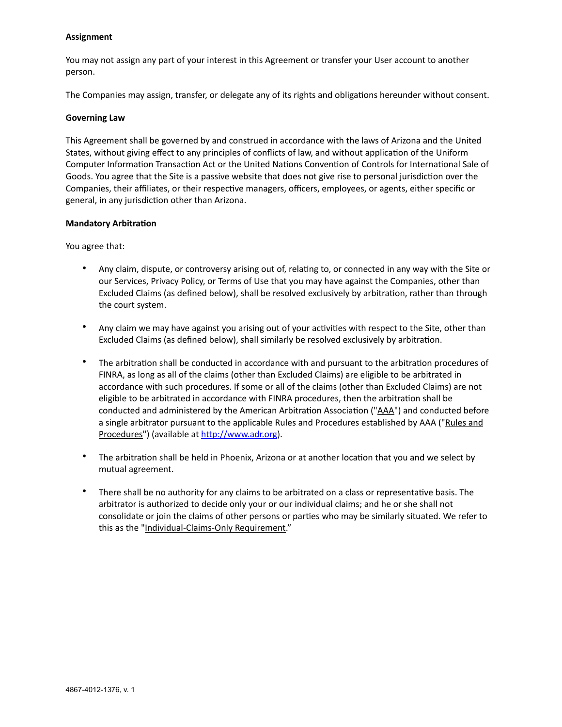#### **Assignment**

You may not assign any part of your interest in this Agreement or transfer your User account to another person.

The Companies may assign, transfer, or delegate any of its rights and obligations hereunder without consent.

#### **Governing Law**

This Agreement shall be governed by and construed in accordance with the laws of Arizona and the United States, without giving effect to any principles of conflicts of law, and without application of the Uniform Computer Information Transaction Act or the United Nations Convention of Controls for International Sale of Goods. You agree that the Site is a passive website that does not give rise to personal jurisdiction over the Companies, their affiliates, or their respective managers, officers, employees, or agents, either specific or general, in any jurisdiction other than Arizona.

#### **Mandatory Arbitration**

You agree that:

- Any claim, dispute, or controversy arising out of, relating to, or connected in any way with the Site or our Services, Privacy Policy, or Terms of Use that you may have against the Companies, other than Excluded Claims (as defined below), shall be resolved exclusively by arbitration, rather than through the court system.
- Any claim we may have against you arising out of your activities with respect to the Site, other than Excluded Claims (as defined below), shall similarly be resolved exclusively by arbitration.
- The arbitration shall be conducted in accordance with and pursuant to the arbitration procedures of FINRA, as long as all of the claims (other than Excluded Claims) are eligible to be arbitrated in accordance with such procedures. If some or all of the claims (other than Excluded Claims) are not eligible to be arbitrated in accordance with FINRA procedures, then the arbitration shall be conducted and administered by the American Arbitration Association ("AAA") and conducted before a single arbitrator pursuant to the applicable Rules and Procedures established by AAA ("Rules and Procedures") (available at<http://www.adr.org>).
- The arbitration shall be held in Phoenix, Arizona or at another location that you and we select by mutual agreement.
- There shall be no authority for any claims to be arbitrated on a class or representative basis. The arbitrator is authorized to decide only your or our individual claims; and he or she shall not consolidate or join the claims of other persons or parties who may be similarly situated. We refer to this as the "Individual-Claims-Only Requirement."